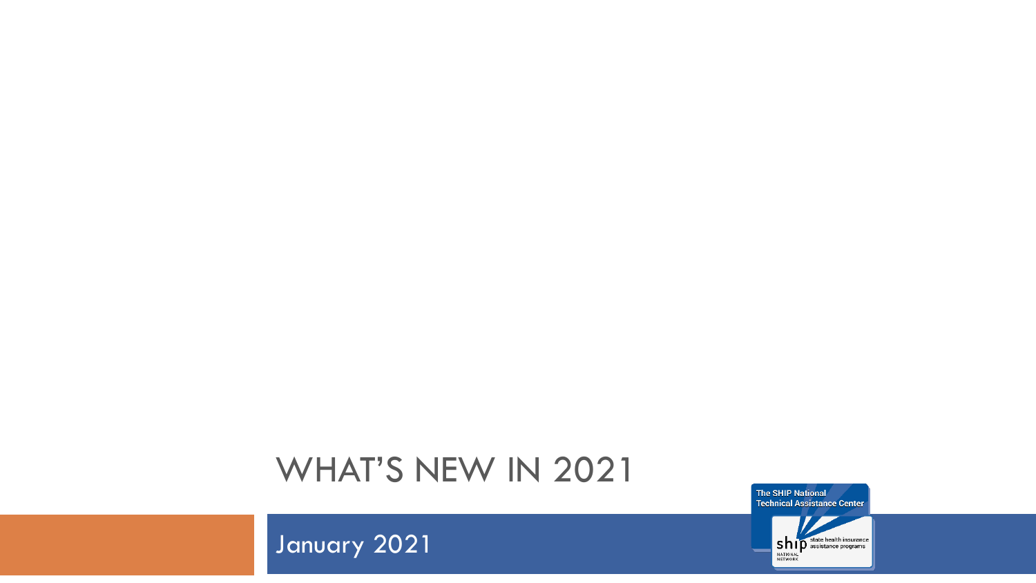### WHAT'S NEW IN 2021

The SHIP National **Technical Assistance Center** 



January 2021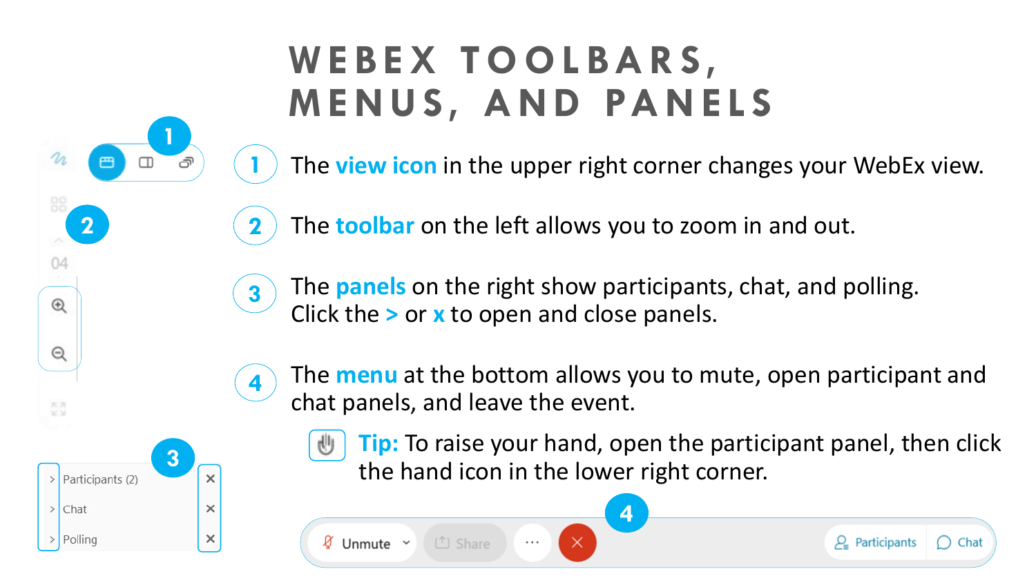## **W E B E X T O O L B A R S, M E N U S, A N D PA N E L S**

The **view icon** in the upper right corner changes your WebEx view.

The **toolbar** on the left allows you to zoom in and out. **2**

The **panels** on the right show participants, chat, and polling. Click the **>** or **x** to open and close panels. **3**

 $\times$ 

 $\cdots$ 

The **menu** at the bottom allows you to mute, open participant and chat panels, and leave the event.



**2**

04

 $^{\circledR}$ 

Q

**1**

**1**

**4**

**Tip:** To raise your hand, open the participant panel, then click the hand icon in the lower right corner.





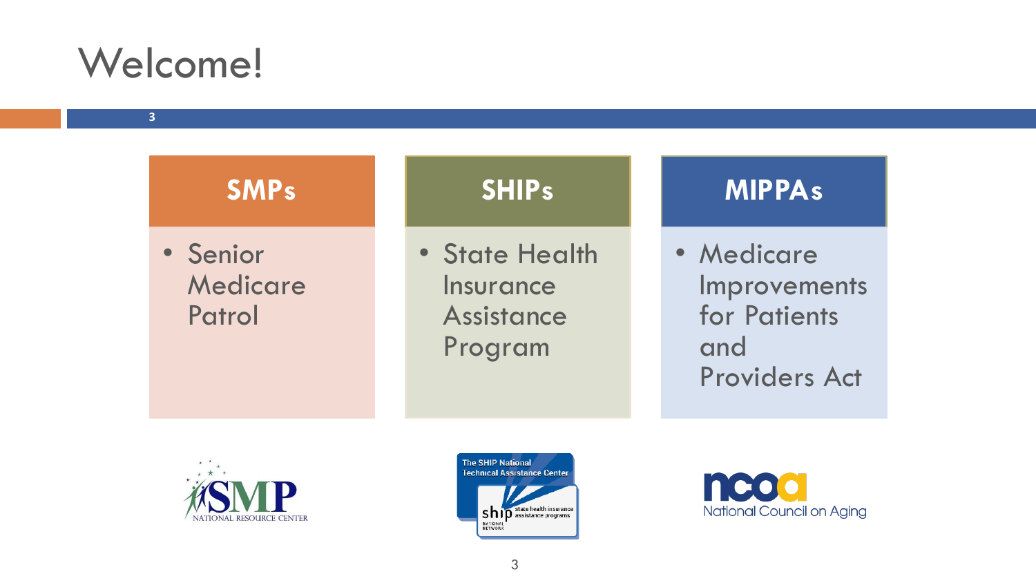## Welcome!

**3**

| <b>SMPs</b>                    | <b>SHIPs</b>                                                | <b>MIPPAs</b>                                                             |
|--------------------------------|-------------------------------------------------------------|---------------------------------------------------------------------------|
| • Senior<br>Medicare<br>Patrol | • State Health<br>Insurance<br><b>Assistance</b><br>Program | • Medicare<br>Improvements<br>for Patients<br>and<br><b>Providers Act</b> |





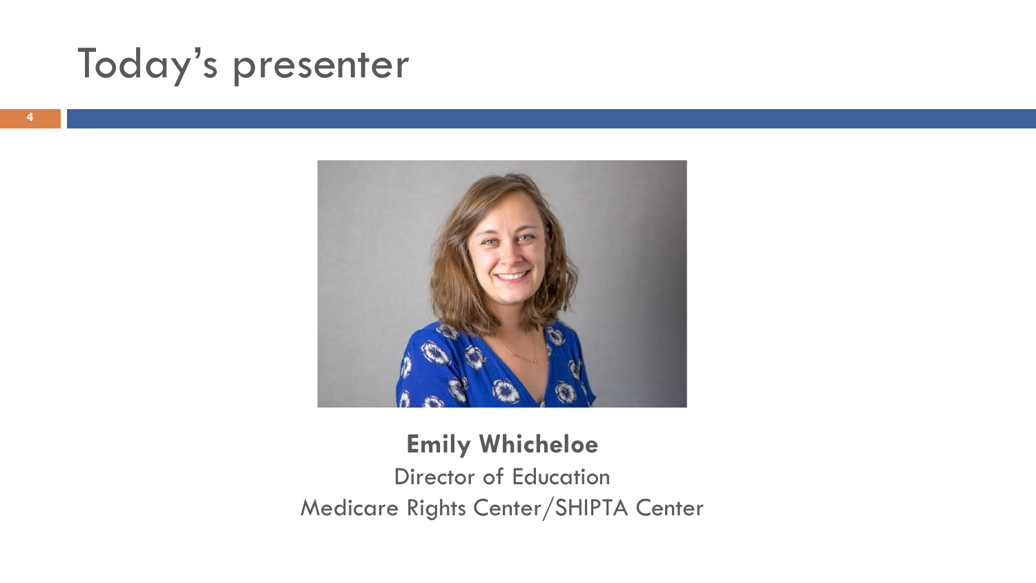## Today's presenter



### **Emily Whicheloe** Director of Education Medicare Rights Center/SHIPTA Center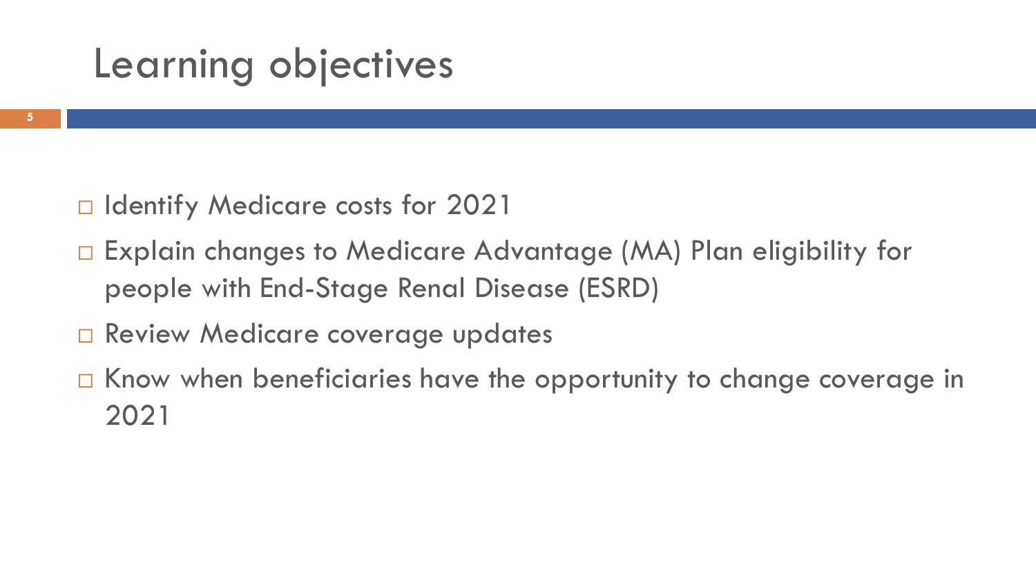## Learning objectives

- □ Identify Medicare costs for 2021
- □ Explain changes to Medicare Advantage (MA) Plan eligibility for people with End-Stage Renal Disease (ESRD)
- □ Review Medicare coverage updates
- $\Box$  Know when beneficiaries have the opportunity to change coverage in 2021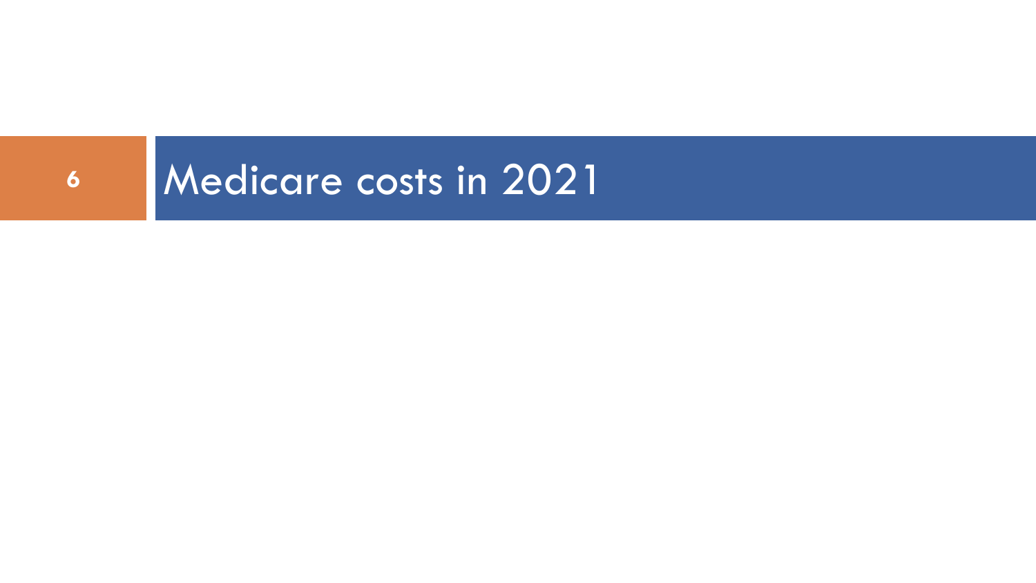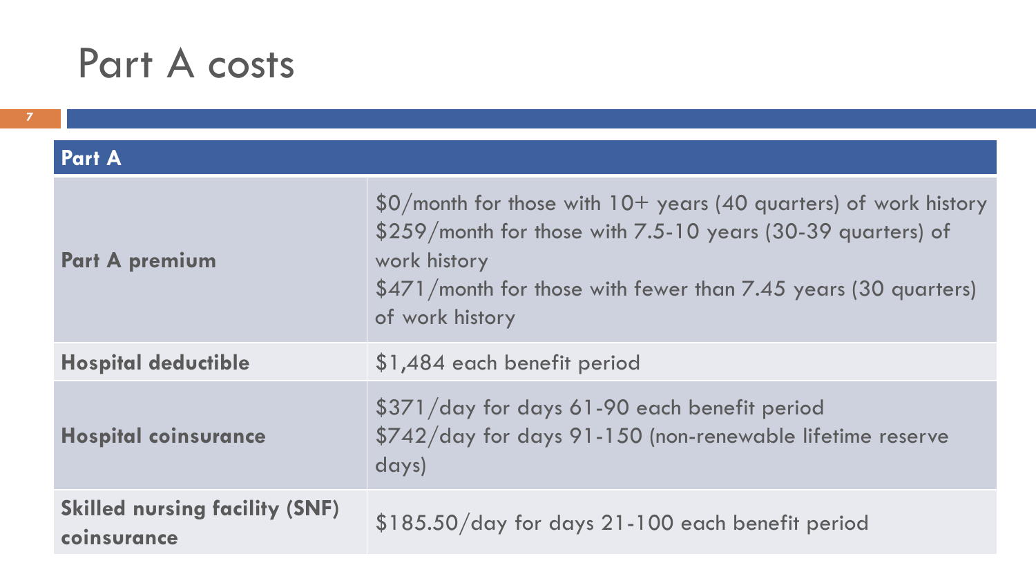## Part A costs

#### **Part A**

| <b>Part A premium</b>                                | $$0/m$ onth for those with $10+$ years (40 quarters) of work history<br>\$259/month for those with 7.5-10 years (30-39 quarters) of<br>work history<br>\$471/month for those with fewer than 7.45 years (30 quarters)<br>of work history |
|------------------------------------------------------|------------------------------------------------------------------------------------------------------------------------------------------------------------------------------------------------------------------------------------------|
| <b>Hospital deductible</b>                           | \$1,484 each benefit period                                                                                                                                                                                                              |
| <b>Hospital coinsurance</b>                          | \$371/day for days 61-90 each benefit period<br>\$742/day for days 91-150 (non-renewable lifetime reserve<br>days)                                                                                                                       |
| <b>Skilled nursing facility (SNF)</b><br>coinsurance | \$185.50/day for days 21-100 each benefit period                                                                                                                                                                                         |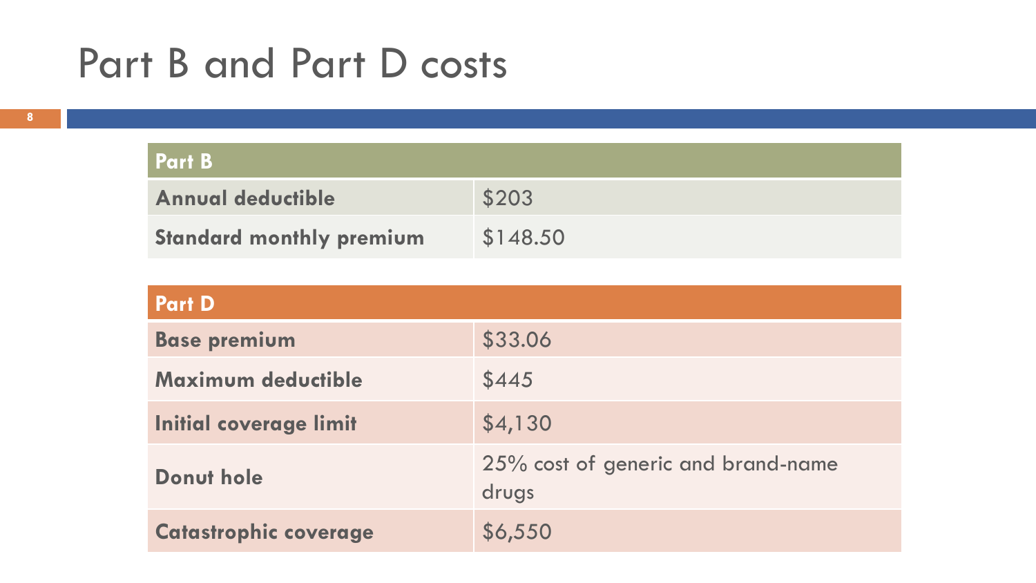## Part B and Part D costs

| <b>Part B</b>                   |          |
|---------------------------------|----------|
| <b>Annual deductible</b>        | \$203    |
| <b>Standard monthly premium</b> | \$148.50 |

| <b>Part D</b>                 |                                             |  |  |
|-------------------------------|---------------------------------------------|--|--|
| <b>Base premium</b>           | \$33.06                                     |  |  |
| Maximum deductible            | \$445                                       |  |  |
| <b>Initial coverage limit</b> | \$4,130                                     |  |  |
| Donut hole                    | 25% cost of generic and brand-name<br>drugs |  |  |
| <b>Catastrophic coverage</b>  | \$6,550                                     |  |  |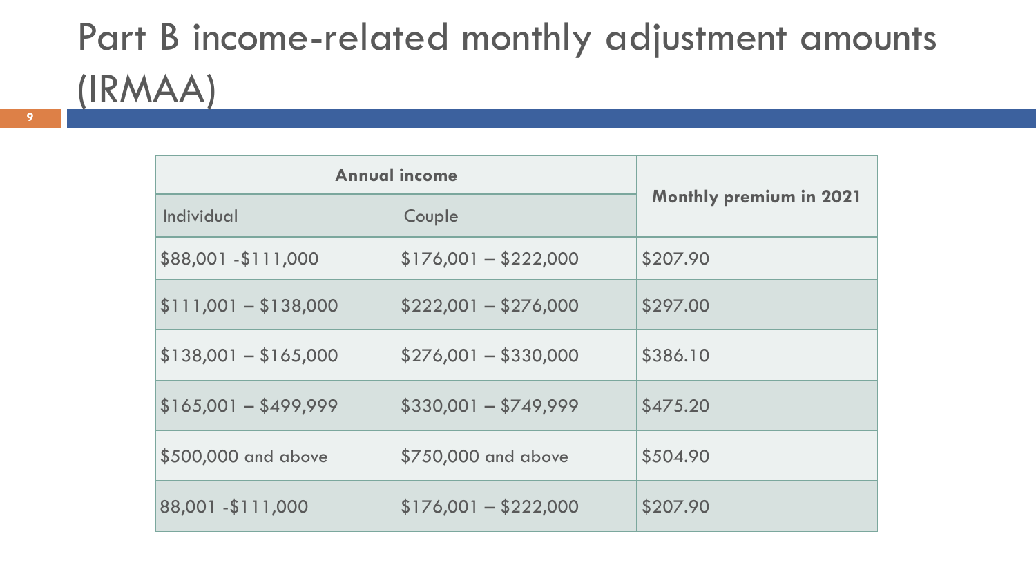# Part B income-related monthly adjustment amounts (IRMAA)

| <b>Annual income</b>  |                       |                                |
|-----------------------|-----------------------|--------------------------------|
| Individual            | Couple                | <b>Monthly premium in 2021</b> |
| \$88,001 - \$111,000  | $$176,001 - $222,000$ | \$207.90                       |
| $$111,001 - $138,000$ | $$222,001 - $276,000$ | \$297.00                       |
| $$138,001 - $165,000$ | $$276,001 - $330,000$ | \$386.10                       |
| $$165,001 - $499,999$ | $$330,001 - $749,999$ | \$475.20                       |
| \$500,000 and above   | \$750,000 and above   | \$504.90                       |
| 88,001 - \$111,000    | $$176,001 - $222,000$ | \$207.90                       |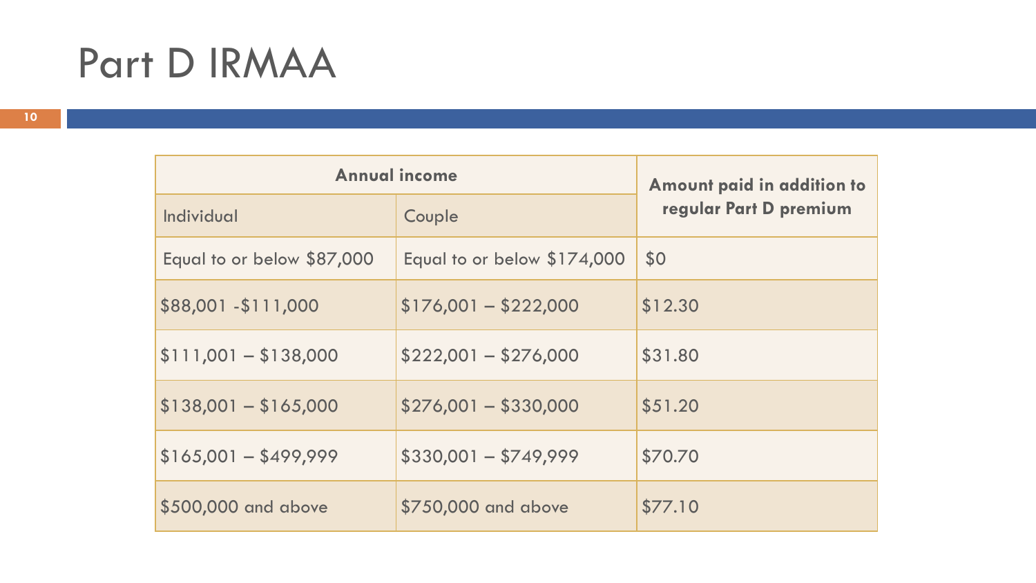## Part D IRMAA

| <b>Annual income</b>       |                             | Amount paid in addition to |
|----------------------------|-----------------------------|----------------------------|
| Individual                 | Couple                      | regular Part D premium     |
| Equal to or below \$87,000 | Equal to or below \$174,000 | \$0                        |
| \$88,001 - \$111,000       | $$176,001 - $222,000$       | \$12.30                    |
| $$111,001 - $138,000$      | $$222,001 - $276,000$       | \$31.80                    |
| $$138,001 - $165,000$      | $$276,001 - $330,000$       | \$51.20                    |
| $$165,001 - $499,999$      | $$330,001 - $749,999$       | \$70.70                    |
| \$500,000 and above        | \$750,000 and above         | \$77.10                    |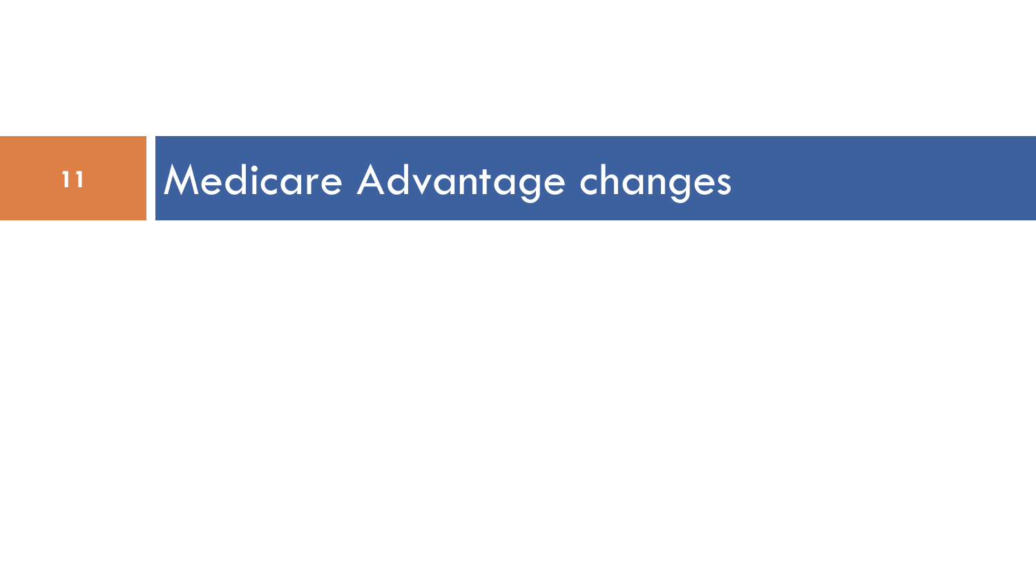# 11 Medicare Advantage changes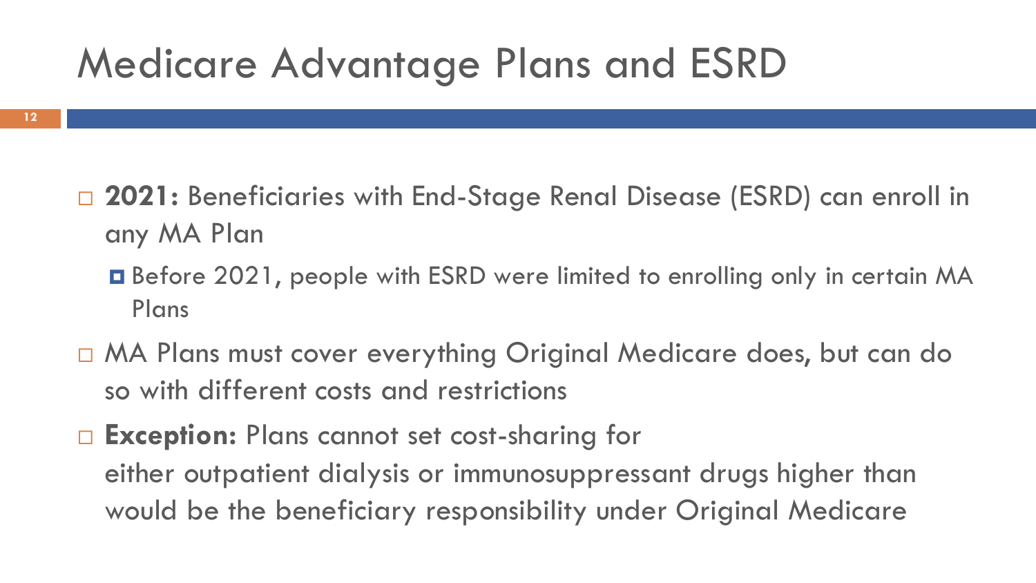## Medicare Advantage Plans and ESRD

- **2021:** Beneficiaries with End-Stage Renal Disease (ESRD) can enroll in any MA Plan
	- Before 2021, people with ESRD were limited to enrolling only in certain MA Plans
- MA Plans must cover everything Original Medicare does, but can do so with different costs and restrictions
- **Exception:** Plans cannot set cost-sharing for either outpatient dialysis or immunosuppressant drugs higher than would be the beneficiary responsibility under Original Medicare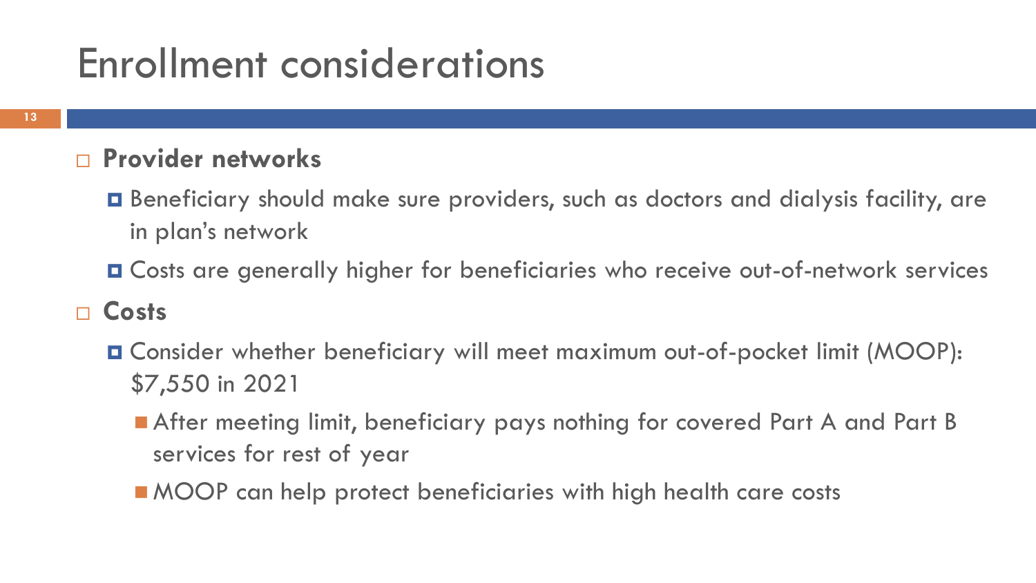## Enrollment considerations

#### **Provider networks**

- Beneficiary should make sure providers, such as doctors and dialysis facility, are in plan's network
- Costs are generally higher for beneficiaries who receive out-of-network services

#### **Costs**

- Consider whether beneficiary will meet maximum out-of-pocket limit (MOOP): \$7,550 in 2021
	- After meeting limit, beneficiary pays nothing for covered Part A and Part B services for rest of year
	- MOOP can help protect beneficiaries with high health care costs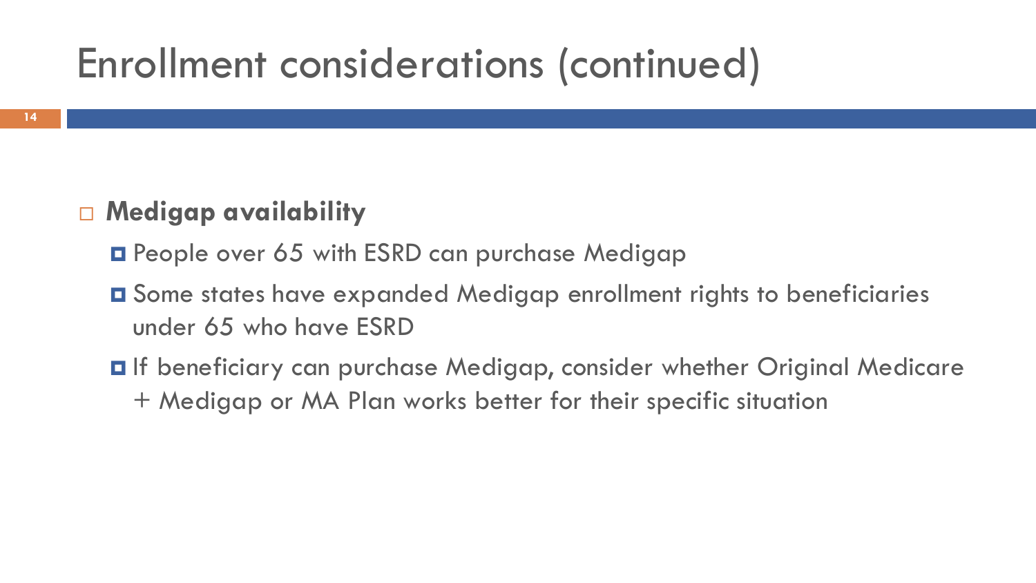## Enrollment considerations (continued)

### **Medigap availability**

- **D** People over 65 with ESRD can purchase Medigap
- Some states have expanded Medigap enrollment rights to beneficiaries under 65 who have ESRD
- **□** If beneficiary can purchase Medigap, consider whether Original Medicare + Medigap or MA Plan works better for their specific situation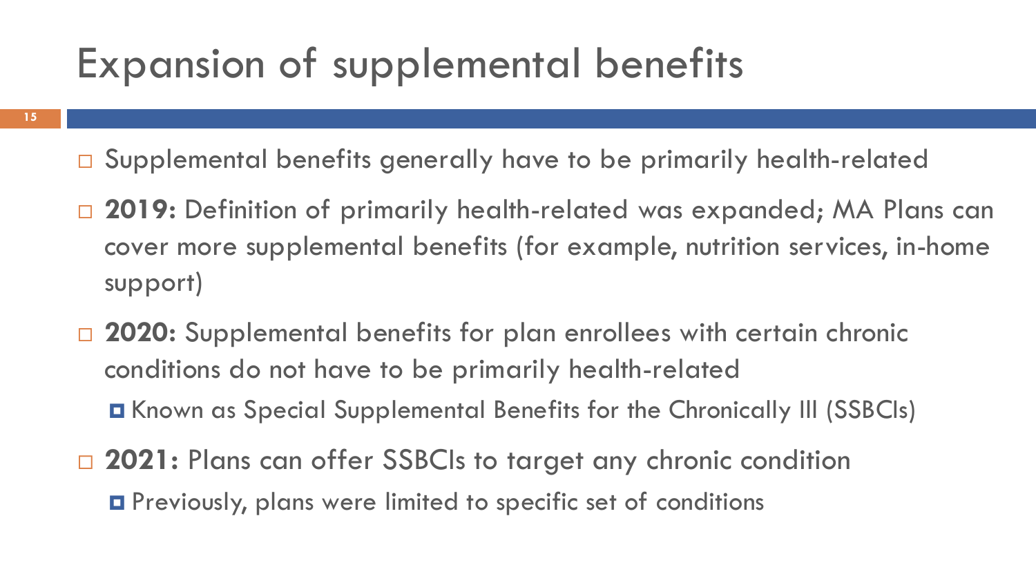## Expansion of supplemental benefits

- **15**
- □ Supplemental benefits generally have to be primarily health-related
- □ 2019: Definition of primarily health-related was expanded; MA Plans can cover more supplemental benefits (for example, nutrition services, in-home support)
- □ 2020: Supplemental benefits for plan enrollees with certain chronic conditions do not have to be primarily health-related Known as Special Supplemental Benefits for the Chronically Ill (SSBCIs)
- □ 2021: Plans can offer SSBCIs to target any chronic condition Previously, plans were limited to specific set of conditions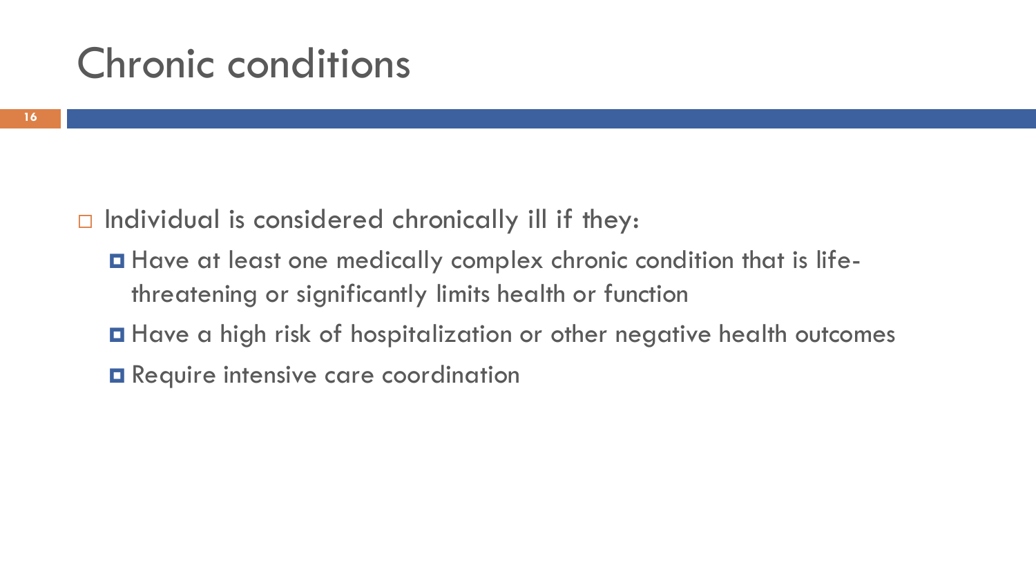## Chronic conditions

- $\Box$  Individual is considered chronically ill if they:
	- Have at least one medically complex chronic condition that is lifethreatening or significantly limits health or function
	- Have a high risk of hospitalization or other negative health outcomes
	- **O** Require intensive care coordination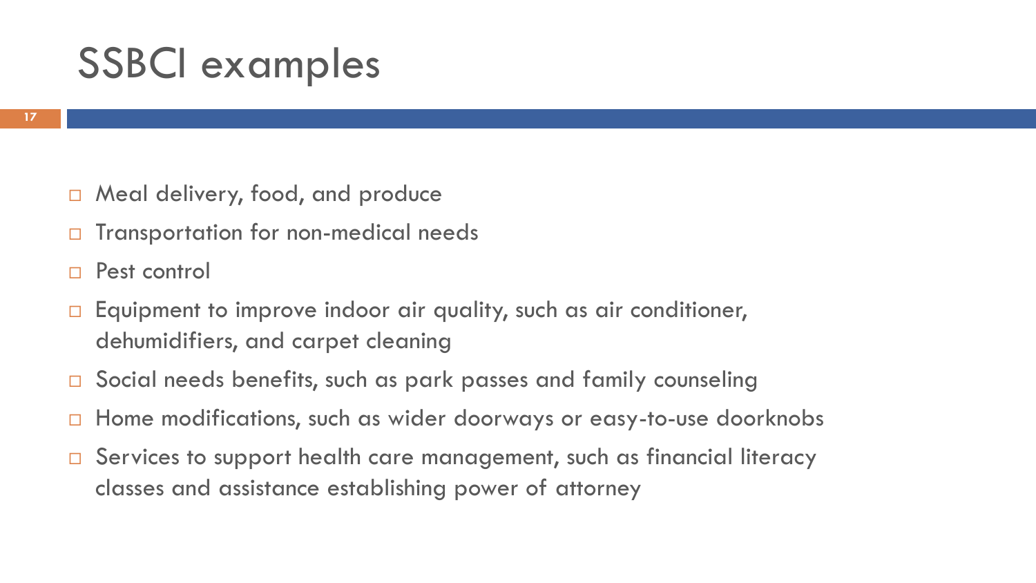## SSBCI examples

- □ Meal delivery, food, and produce
- Transportation for non-medical needs
- Pest control
- Equipment to improve indoor air quality, such as air conditioner, dehumidifiers, and carpet cleaning
- Social needs benefits, such as park passes and family counseling
- Home modifications, such as wider doorways or easy-to-use doorknobs
- □ Services to support health care management, such as financial literacy classes and assistance establishing power of attorney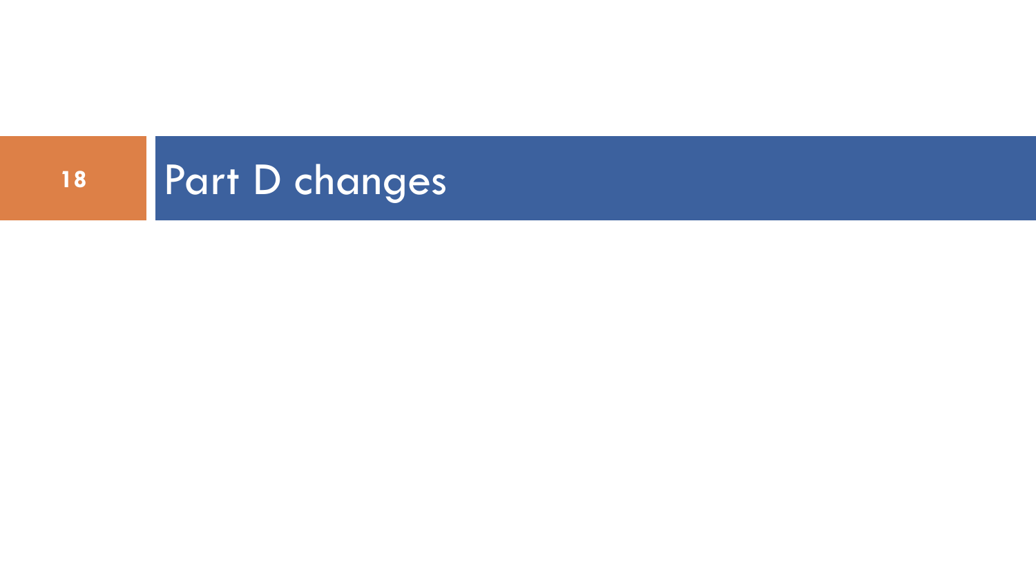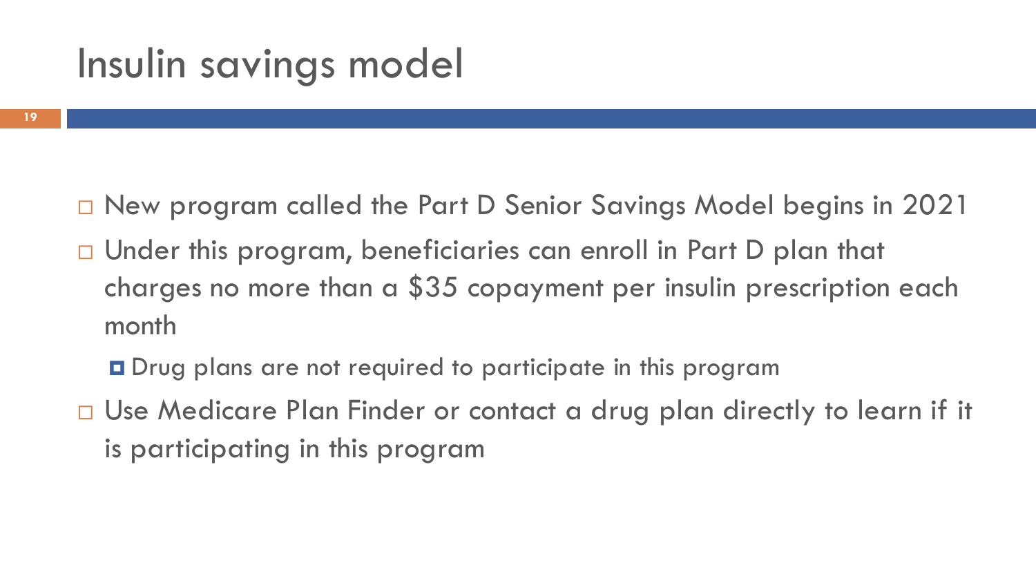## Insulin savings model

- New program called the Part D Senior Savings Model begins in 2021
- □ Under this program, beneficiaries can enroll in Part D plan that charges no more than a \$35 copayment per insulin prescription each month
	- Drug plans are not required to participate in this program
- □ Use Medicare Plan Finder or contact a drug plan directly to learn if it is participating in this program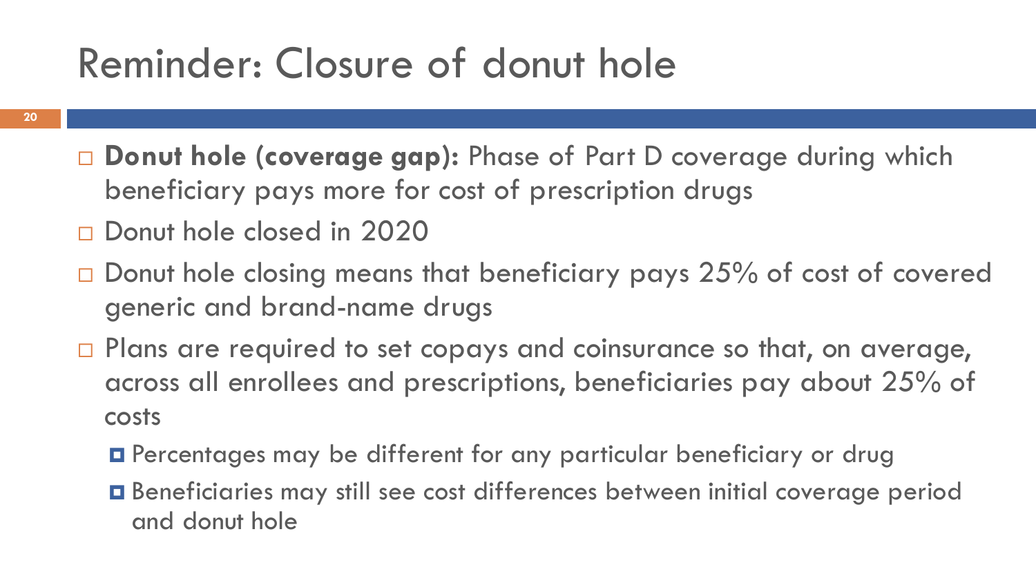## Reminder: Closure of donut hole

- **20**
- **Donut hole (coverage gap):** Phase of Part D coverage during which beneficiary pays more for cost of prescription drugs
- Donut hole closed in 2020
- $\Box$  Donut hole closing means that beneficiary pays 25% of cost of covered generic and brand-name drugs
- $\Box$  Plans are required to set copays and coinsurance so that, on average, across all enrollees and prescriptions, beneficiaries pay about 25% of costs
	- Percentages may be different for any particular beneficiary or drug
	- Beneficiaries may still see cost differences between initial coverage period and donut hole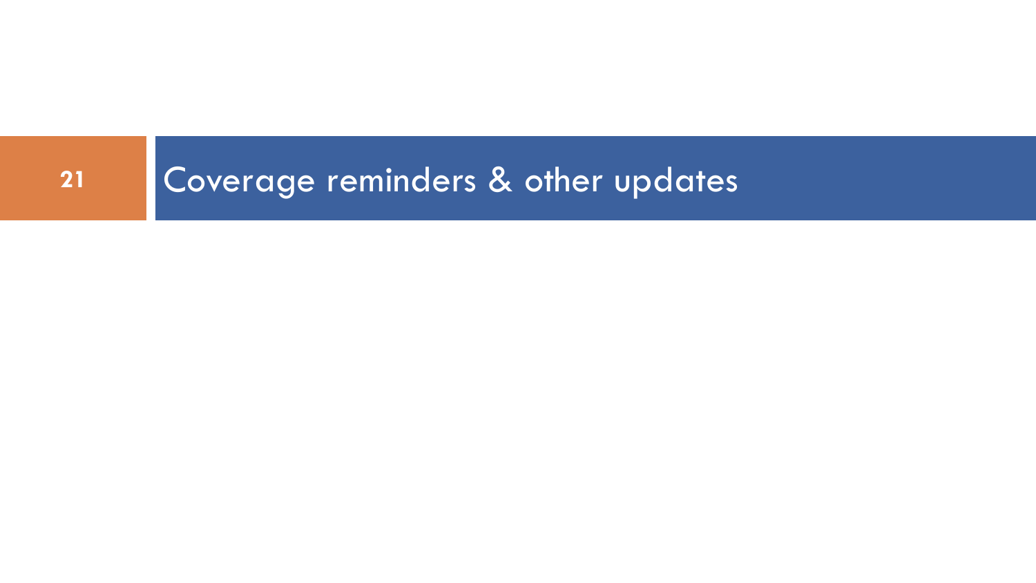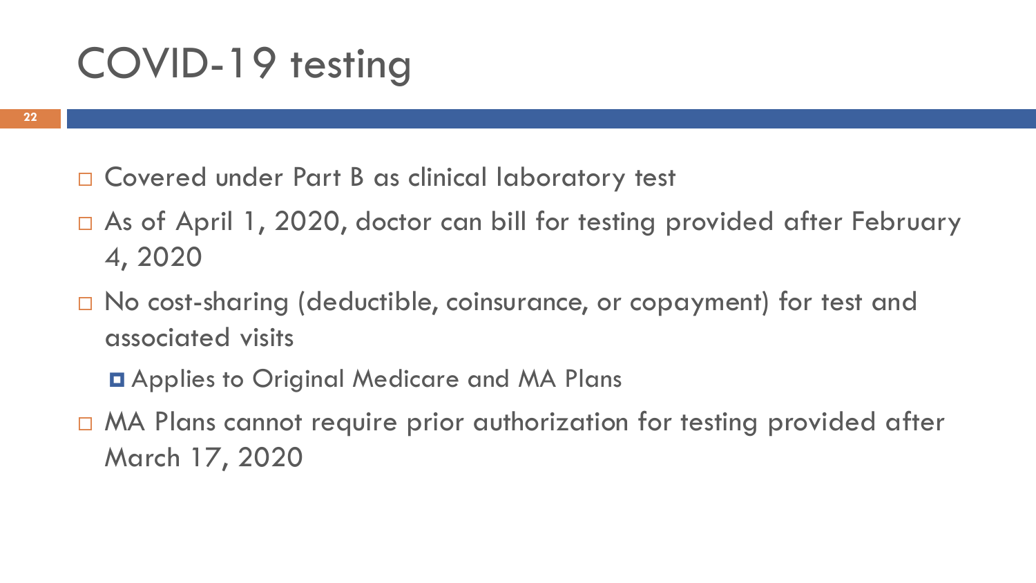## COVID-19 testing

- □ Covered under Part B as clinical laboratory test
- □ As of April 1, 2020, doctor can bill for testing provided after February 4, 2020
- $\Box$  No cost-sharing (deductible, coinsurance, or copayment) for test and associated visits
	- **D** Applies to Original Medicare and MA Plans
- □ MA Plans cannot require prior authorization for testing provided after March 17, 2020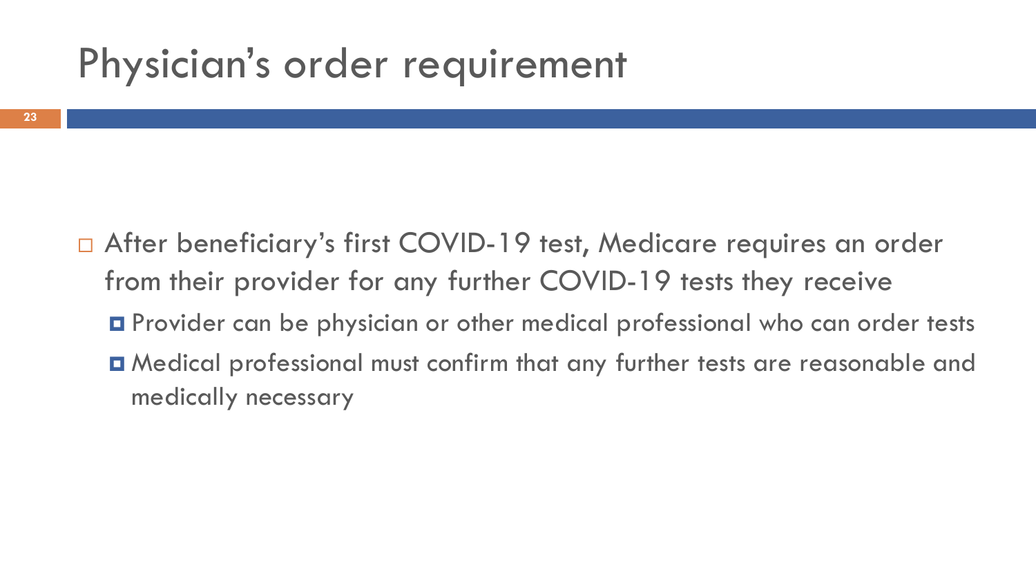## Physician's order requirement

- □ After beneficiary's first COVID-19 test, Medicare requires an order from their provider for any further COVID-19 tests they receive
	- **O** Provider can be physician or other medical professional who can order tests
	- Medical professional must confirm that any further tests are reasonable and medically necessary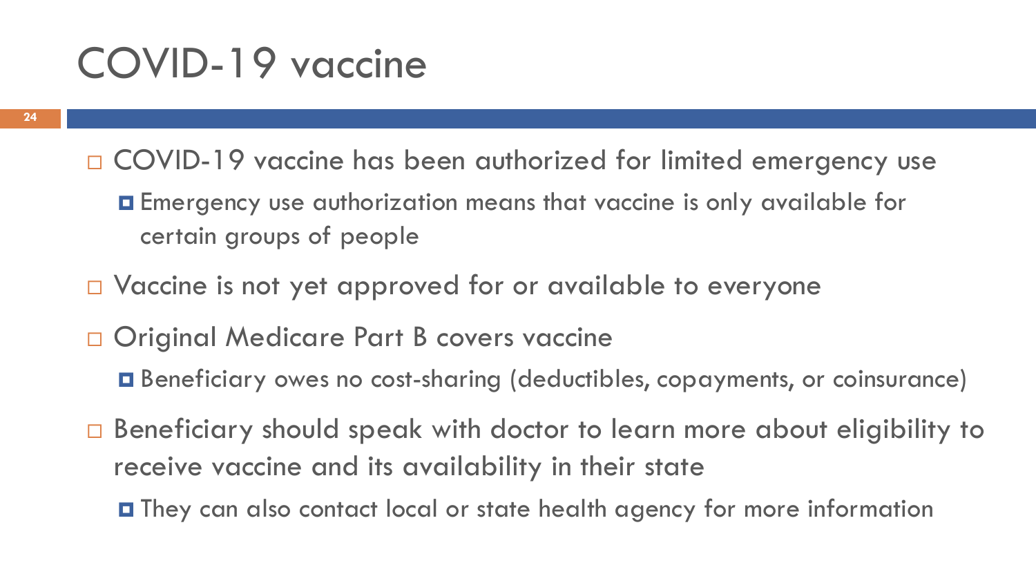## COVID-19 vaccine

- □ COVID-19 vaccine has been authorized for limited emergency use
	- Emergency use authorization means that vaccine is only available for certain groups of people
- □ Vaccine is not yet approved for or available to everyone
- □ Original Medicare Part B covers vaccine
	- Beneficiary owes no cost-sharing (deductibles, copayments, or coinsurance)
- □ Beneficiary should speak with doctor to learn more about eligibility to receive vaccine and its availability in their state
	- They can also contact local or state health agency for more information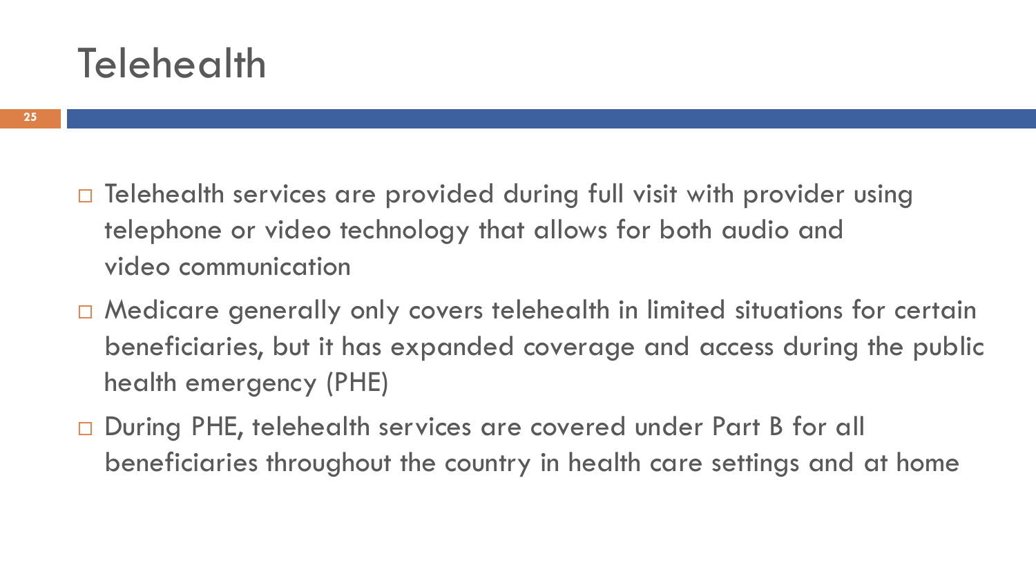## **Telehealth**

- - □ Telehealth services are provided during full visit with provider using telephone or video technology that allows for both audio and video communication
	- □ Medicare generally only covers telehealth in limited situations for certain beneficiaries, but it has expanded coverage and access during the public health emergency (PHE)
	- □ During PHE, telehealth services are covered under Part B for all beneficiaries throughout the country in health care settings and at home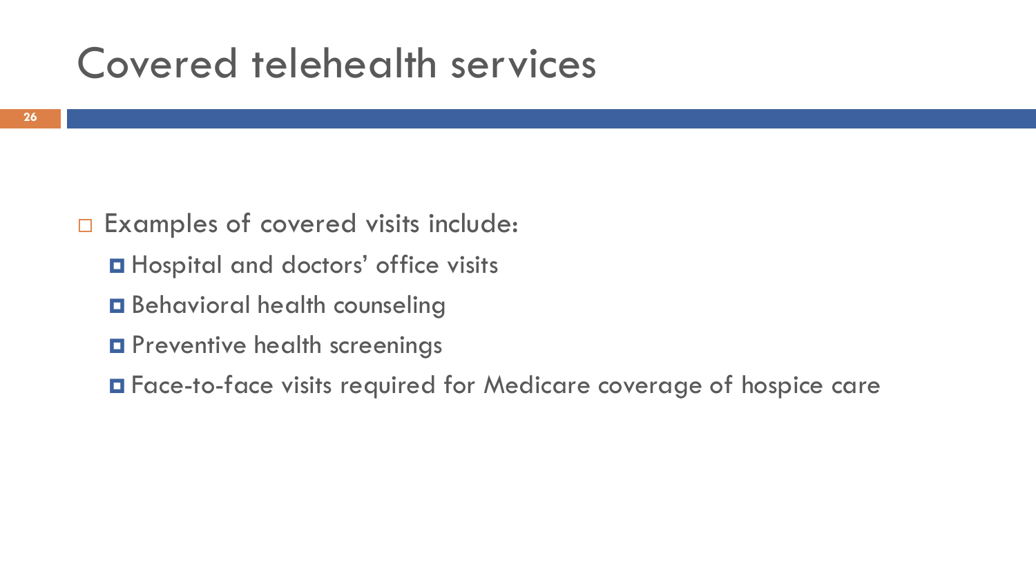## Covered telehealth services

- □ Examples of covered visits include:
	- **O** Hospital and doctors' office visits
	- **Behavioral health counseling**
	- **O** Preventive health screenings
	- Face-to-face visits required for Medicare coverage of hospice care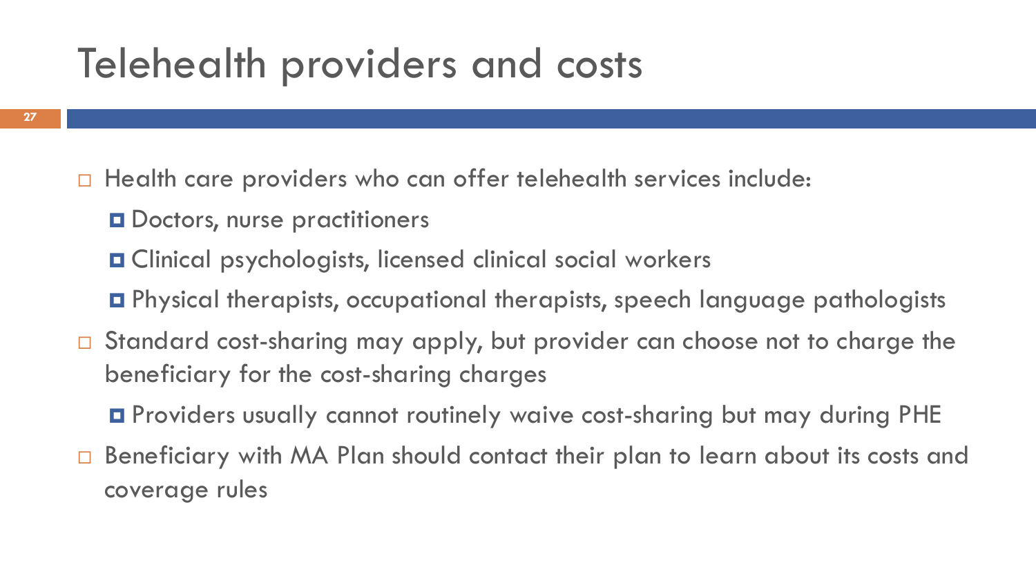## Telehealth providers and costs

- $\Box$  Health care providers who can offer telehealth services include:
	- **O** Doctors, nurse practitioners
	- Clinical psychologists, licensed clinical social workers
	- Physical therapists, occupational therapists, speech language pathologists
- □ Standard cost-sharing may apply, but provider can choose not to charge the beneficiary for the cost-sharing charges
	- Providers usually cannot routinely waive cost-sharing but may during PHE
- □ Beneficiary with MA Plan should contact their plan to learn about its costs and coverage rules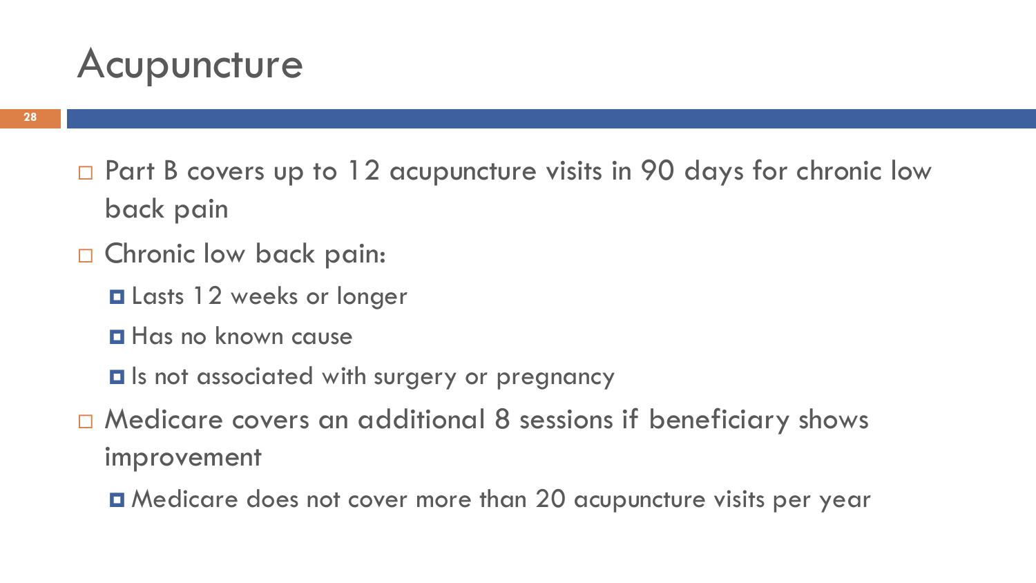## Acupuncture

- □ Part B covers up to 12 acupuncture visits in 90 days for chronic low back pain
- □ Chronic low back pain:
	- **Q** Lasts 12 weeks or longer
	- **Has no known cause**
	- Is not associated with surgery or pregnancy
- □ Medicare covers an additional 8 sessions if beneficiary shows improvement
	- Medicare does not cover more than 20 acupuncture visits per year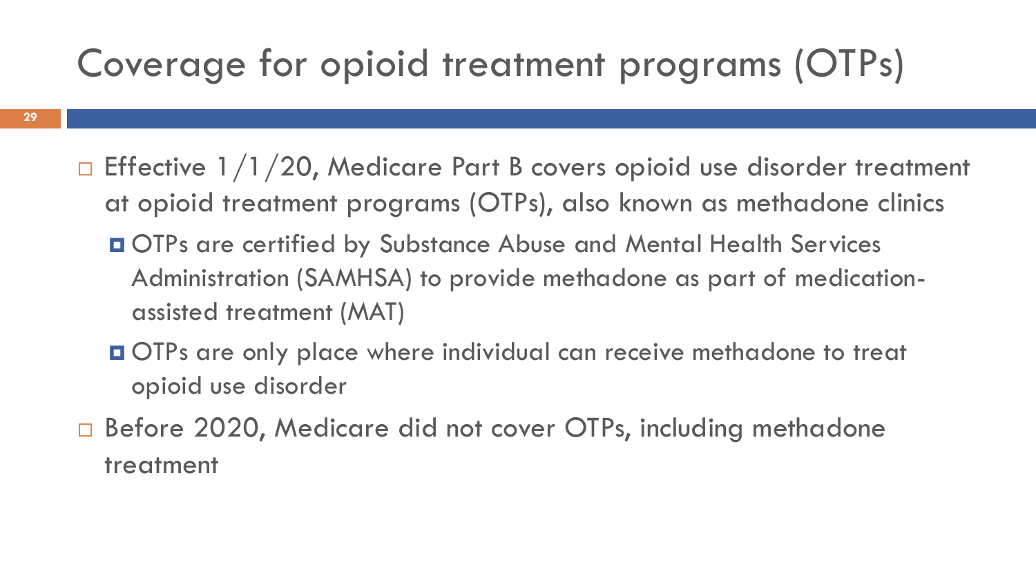## Coverage for opioid treatment programs (OTPs)

- **29**
- $\Box$  Effective 1/1/20, Medicare Part B covers opioid use disorder treatment at opioid treatment programs (OTPs), also known as methadone clinics
	- OTPs are certified by Substance Abuse and Mental Health Services Administration (SAMHSA) to provide methadone as part of medicationassisted treatment (MAT)
	- OTPs are only place where individual can receive methadone to treat opioid use disorder
- □ Before 2020, Medicare did not cover OTPs, including methadone treatment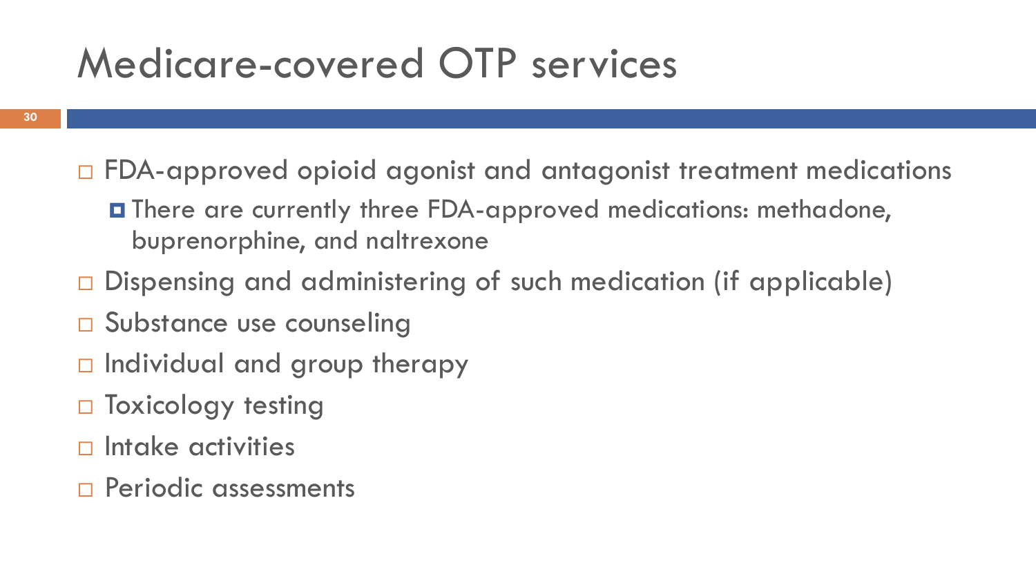## Medicare-covered OTP services

- FDA-approved opioid agonist and antagonist treatment medications
	- There are currently three FDA-approved medications: methadone, buprenorphine, and naltrexone
- $\square$  Dispensing and administering of such medication (if applicable)
- □ Substance use counseling
- $\Box$  Individual and group therapy
- $\Box$  Toxicology testing
- $\Box$  Intake activities
- **Periodic assessments**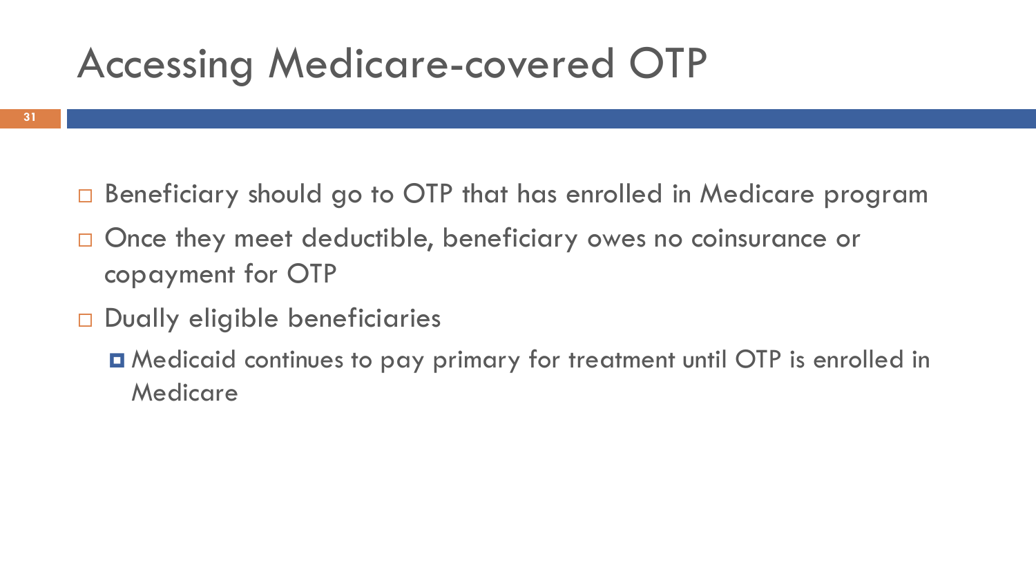## Accessing Medicare-covered OTP

- □ Beneficiary should go to OTP that has enrolled in Medicare program
- □ Once they meet deductible, beneficiary owes no coinsurance or copayment for OTP
- Dually eligible beneficiaries
	- Medicaid continues to pay primary for treatment until OTP is enrolled in Medicare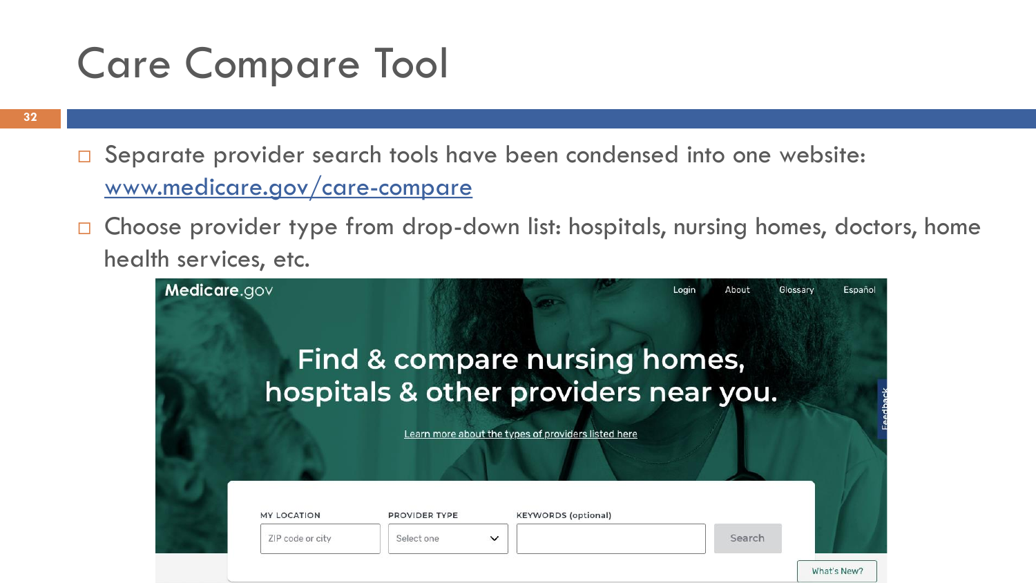## Care Compare Tool

- □ Separate provider search tools have been condensed into one website: [www.medicare.gov/care-compare](http://www.medicare.gov/care-compare)
- □ Choose provider type from drop-down list: hospitals, nursing homes, doctors, home health services, etc.

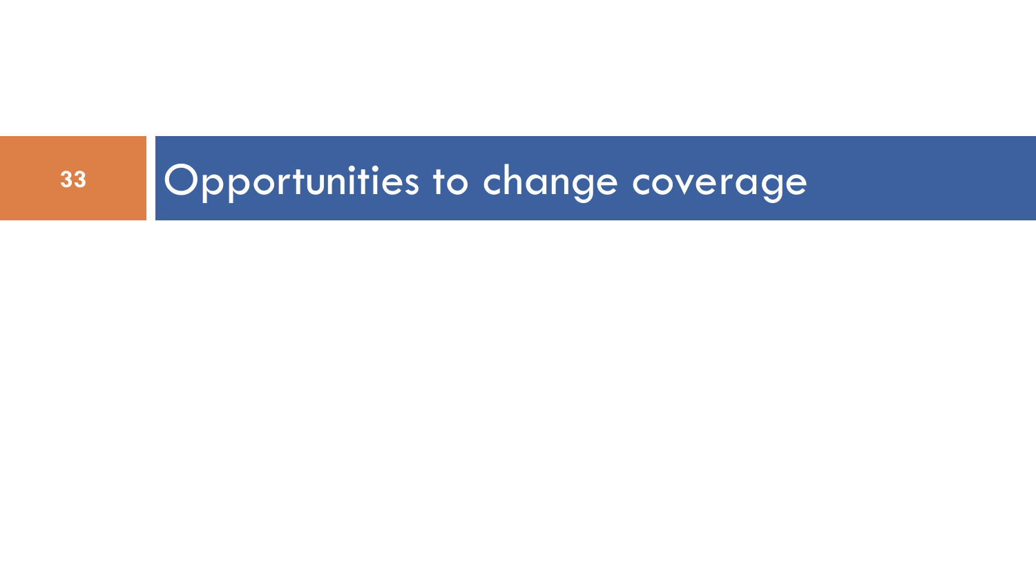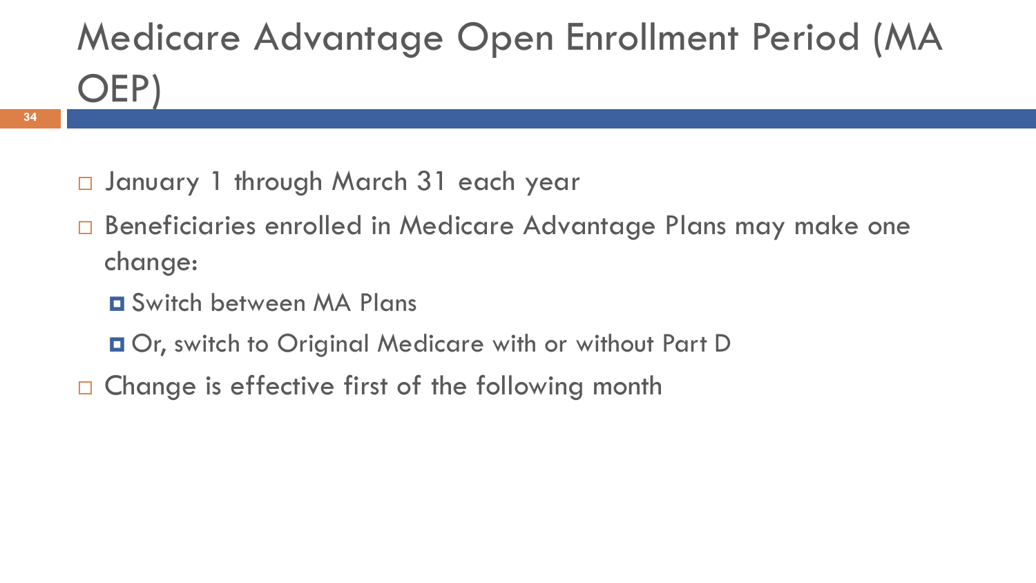# Medicare Advantage Open Enrollment Period (MA OEP)

- January 1 through March 31 each year
- □ Beneficiaries enrolled in Medicare Advantage Plans may make one change:
	- Switch between MA Plans

**34**

- Or, switch to Original Medicare with or without Part D
- $\Box$  Change is effective first of the following month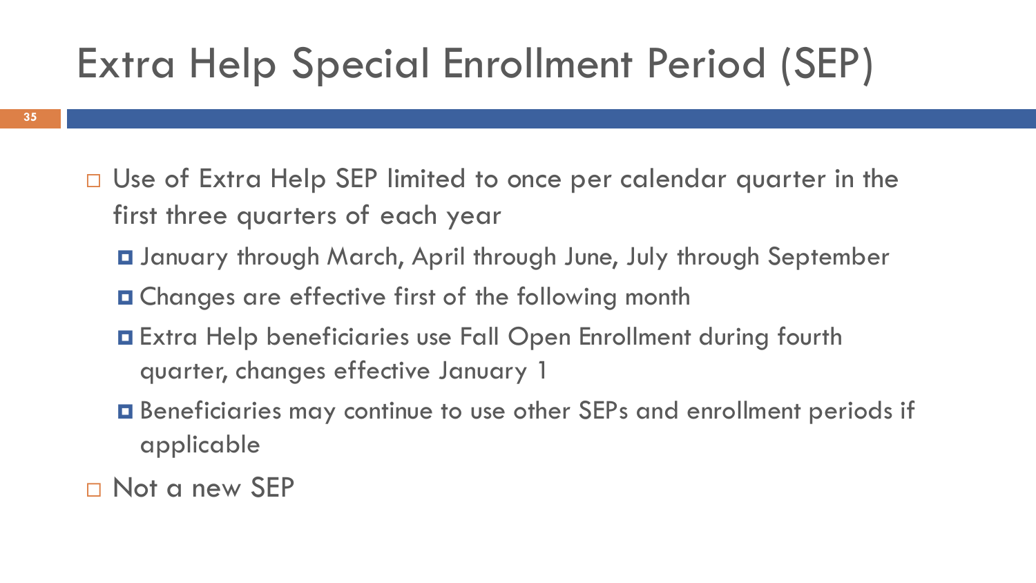# Extra Help Special Enrollment Period (SEP)

- □ Use of Extra Help SEP limited to once per calendar quarter in the first three quarters of each year
	- January through March, April through June, July through September
	- Changes are effective first of the following month
	- Extra Help beneficiaries use Fall Open Enrollment during fourth quarter, changes effective January 1
	- Beneficiaries may continue to use other SEPs and enrollment periods if applicable
- □ Not a new SEP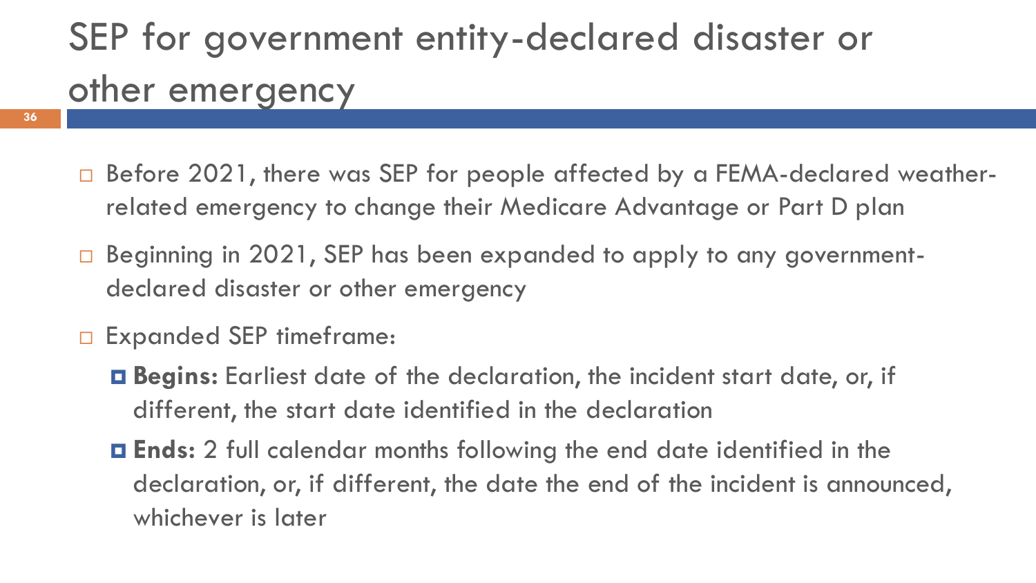## SEP for government entity-declared disaster or other emergency

- □ Before 2021, there was SEP for people affected by a FEMA-declared weatherrelated emergency to change their Medicare Advantage or Part D plan
- Beginning in 2021, SEP has been expanded to apply to any governmentdeclared disaster or other emergency
- □ Expanded SEP timeframe:

**36**

- **Begins:** Earliest date of the declaration, the incident start date, or, if different, the start date identified in the declaration
- **Ends:** 2 full calendar months following the end date identified in the declaration, or, if different, the date the end of the incident is announced, whichever is later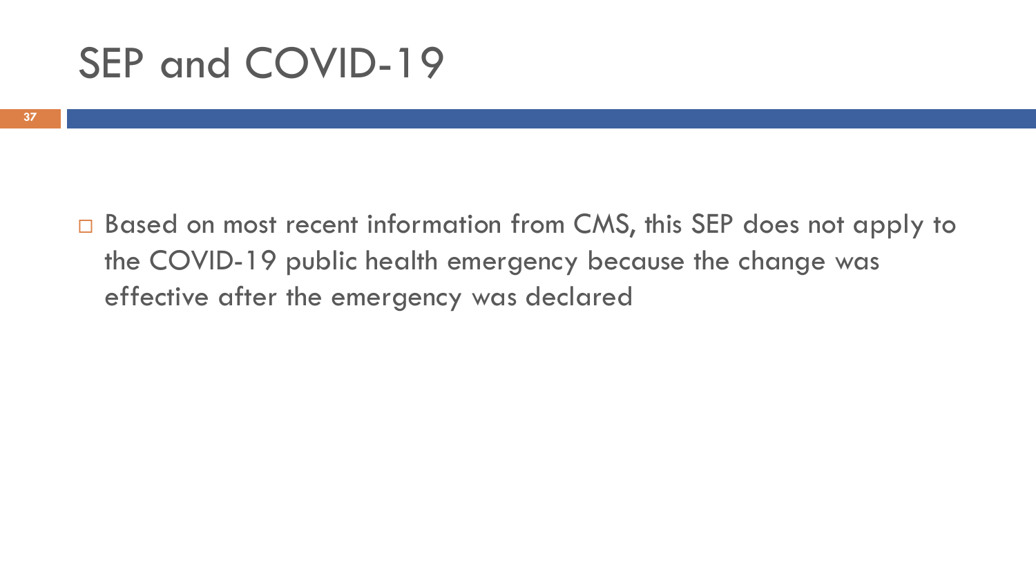## SEP and COVID-19

□ Based on most recent information from CMS, this SEP does not apply to the COVID-19 public health emergency because the change was effective after the emergency was declared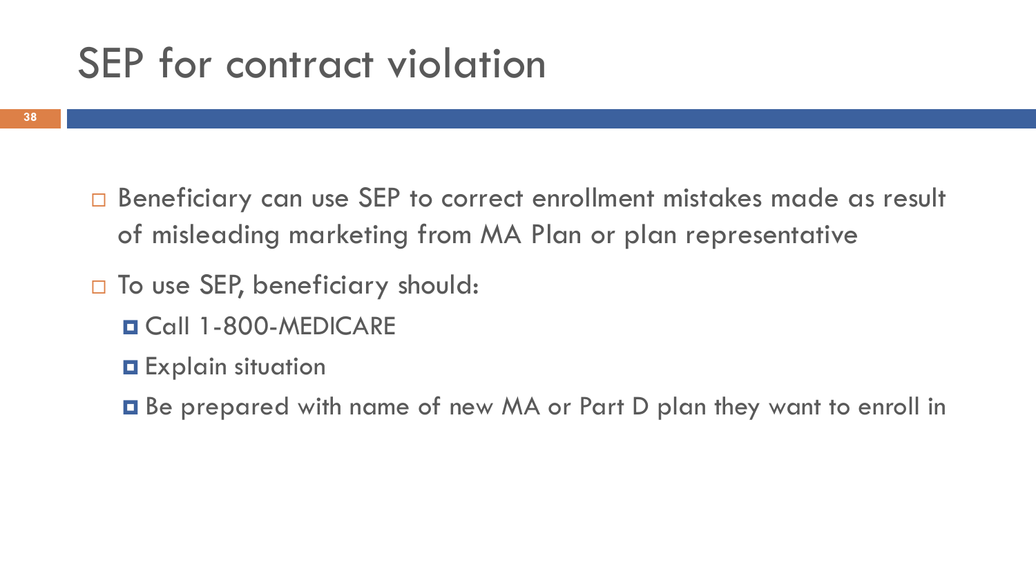## SEP for contract violation

- □ Beneficiary can use SEP to correct enrollment mistakes made as result of misleading marketing from MA Plan or plan representative
- □ To use SEP, beneficiary should:
	- Call 1-800-MEDICARE
	- **O** Explain situation
	- Be prepared with name of new MA or Part D plan they want to enroll in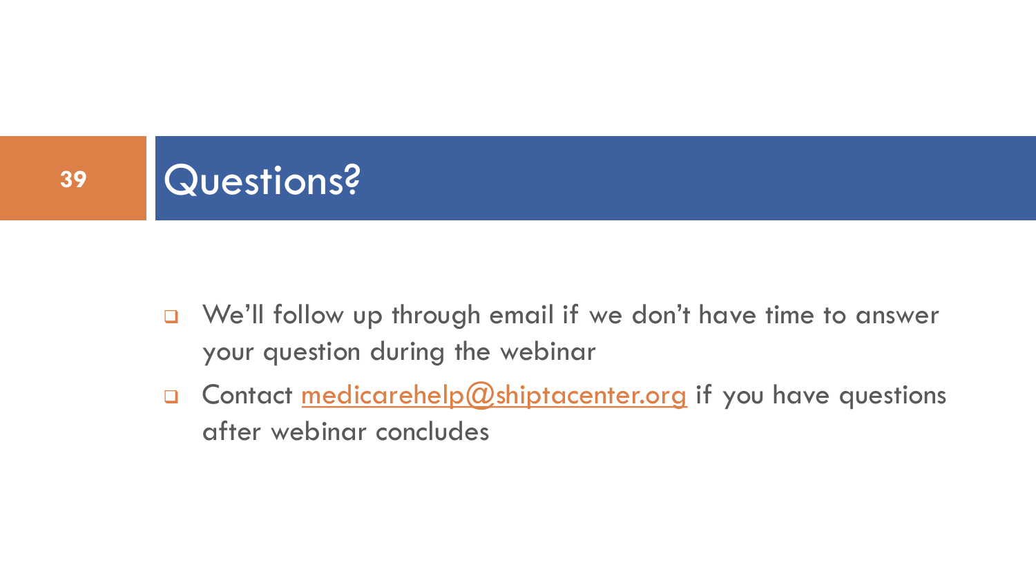

- ❑ We'll follow up through email if we don't have time to answer your question during the webinar
- □ Contact medicarehelp@shiptacenter.org if you have questions after webinar concludes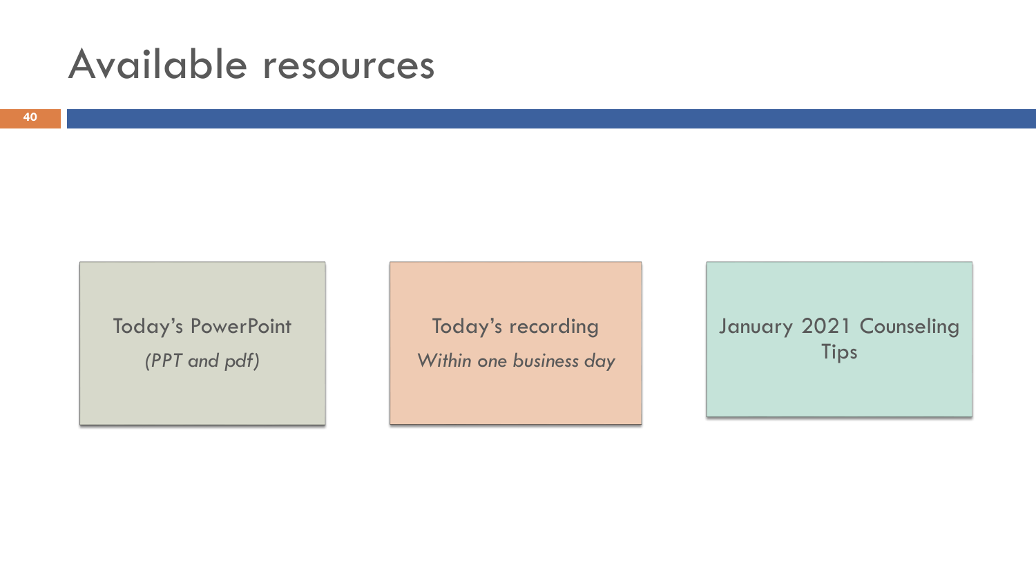## Available resources

Today's PowerPoint *(PPT and pdf)*

Today's recording *Within one business day* January 2021 Counseling Tips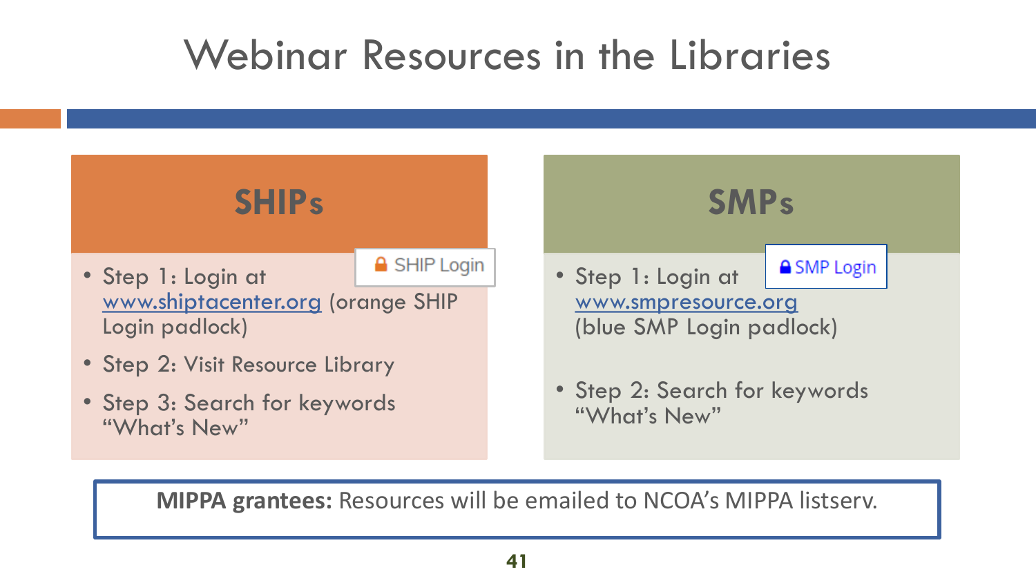## Webinar Resources in the Libraries



**MIPPA grantees:** Resources will be emailed to NCOA's MIPPA listserv.